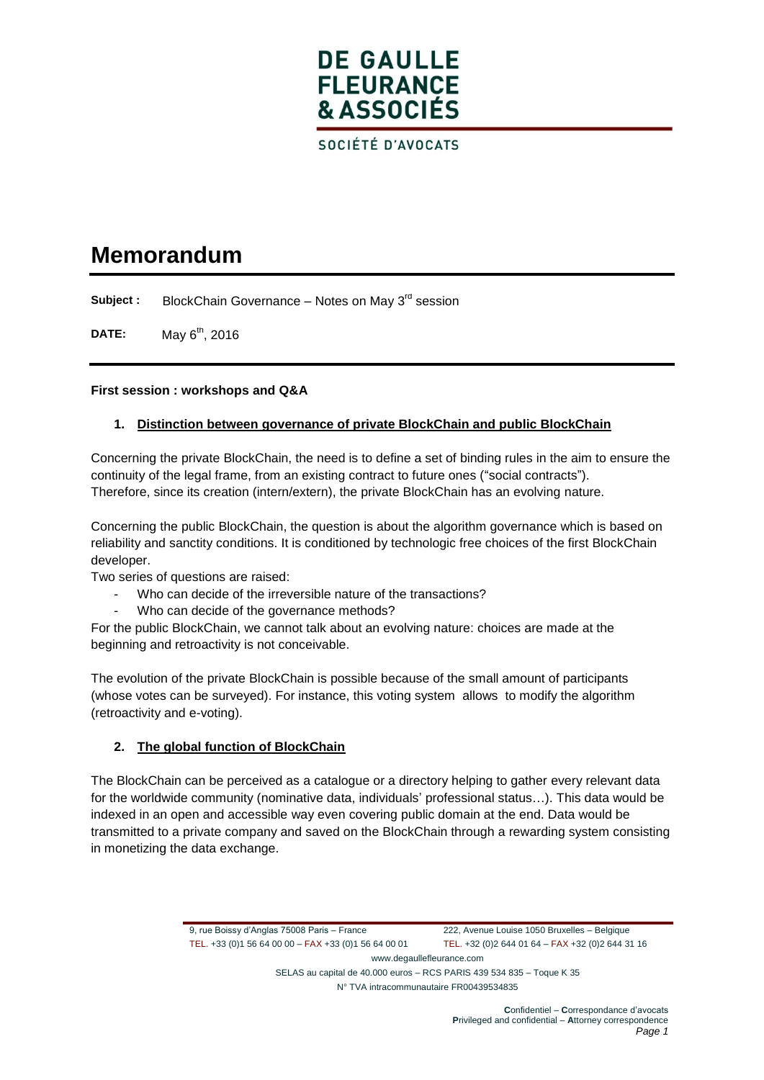# **DE GAULLE FLEURANCE** & ASSOCIÉS

SOCIÉTÉ D'AVOCATS

## **Memorandum**

**Subject :** BlockChain Governance – Notes on May 3<sup>rd</sup> session

**DATE:** May 6<sup>th</sup>, 2016

## **First session : workshops and Q&A**

## **1. Distinction between governance of private BlockChain and public BlockChain**

Concerning the private BlockChain, the need is to define a set of binding rules in the aim to ensure the continuity of the legal frame, from an existing contract to future ones ("social contracts"). Therefore, since its creation (intern/extern), the private BlockChain has an evolving nature.

Concerning the public BlockChain, the question is about the algorithm governance which is based on reliability and sanctity conditions. It is conditioned by technologic free choices of the first BlockChain developer.

Two series of questions are raised:

- Who can decide of the irreversible nature of the transactions?
- Who can decide of the governance methods?

For the public BlockChain, we cannot talk about an evolving nature: choices are made at the beginning and retroactivity is not conceivable.

The evolution of the private BlockChain is possible because of the small amount of participants (whose votes can be surveyed). For instance, this voting system allows to modify the algorithm (retroactivity and e-voting).

## **2. The global function of BlockChain**

The BlockChain can be perceived as a catalogue or a directory helping to gather every relevant data for the worldwide community (nominative data, individuals' professional status…). This data would be indexed in an open and accessible way even covering public domain at the end. Data would be transmitted to a private company and saved on the BlockChain through a rewarding system consisting in monetizing the data exchange.

> 9, rue Boissy d'Anglas 75008 Paris – France 222, Avenue Louise 1050 Bruxelles – Belgique TEL. +33 (0)1 56 64 00 00 – FAX +33 (0)1 56 64 00 01 TEL. +32 (0)2 644 01 64 – FAX +32 (0)2 644 31 16 www.degaullefleurance.com

SELAS au capital de 40.000 euros – RCS PARIS 439 534 835 – Toque K 35 N° TVA intracommunautaire FR00439534835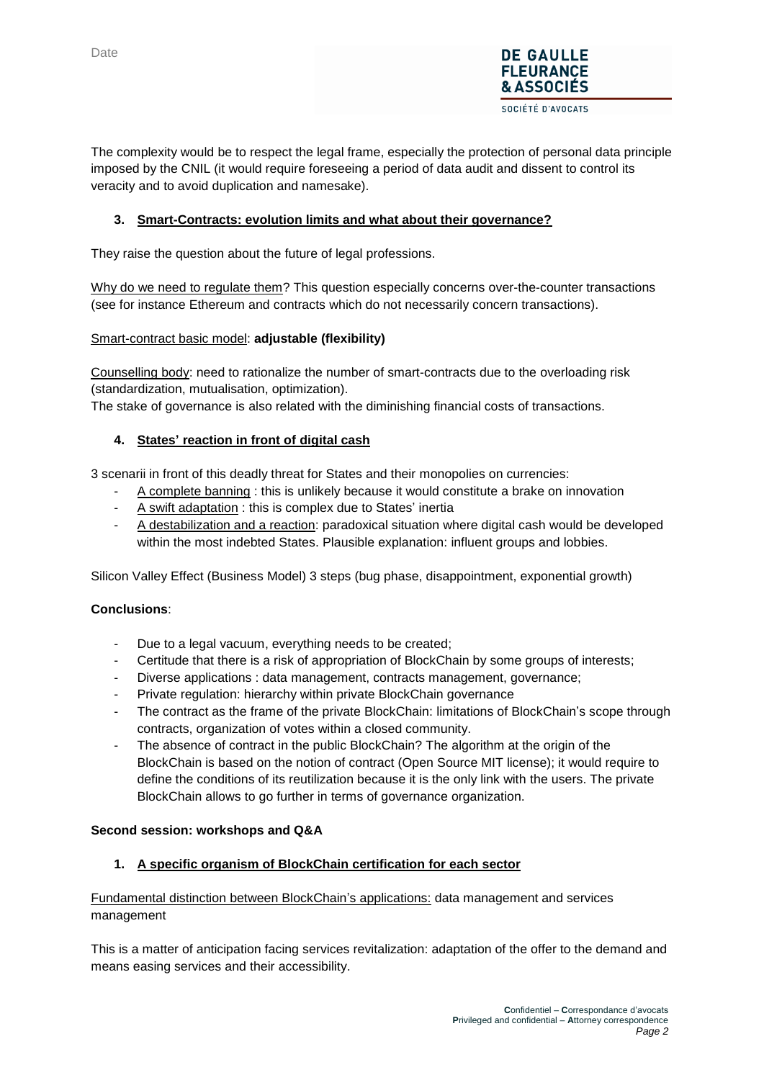

**DE GAULLE FLEURANCE &ASSOCIES** SOCIÉTÉ D'AVOCATS

## **3. Smart-Contracts: evolution limits and what about their governance?**

They raise the question about the future of legal professions.

Why do we need to regulate them? This question especially concerns over-the-counter transactions (see for instance Ethereum and contracts which do not necessarily concern transactions).

#### Smart-contract basic model: **adjustable (flexibility)**

Counselling body: need to rationalize the number of smart-contracts due to the overloading risk (standardization, mutualisation, optimization).

The stake of governance is also related with the diminishing financial costs of transactions.

### **4. States' reaction in front of digital cash**

3 scenarii in front of this deadly threat for States and their monopolies on currencies:

- A complete banning : this is unlikely because it would constitute a brake on innovation
- A swift adaptation : this is complex due to States' inertia
- A destabilization and a reaction: paradoxical situation where digital cash would be developed within the most indebted States. Plausible explanation: influent groups and lobbies.

Silicon Valley Effect (Business Model) 3 steps (bug phase, disappointment, exponential growth)

### **Conclusions**:

- Due to a legal vacuum, everything needs to be created;
- Certitude that there is a risk of appropriation of BlockChain by some groups of interests;
- Diverse applications : data management, contracts management, governance;
- Private regulation: hierarchy within private BlockChain governance
- The contract as the frame of the private BlockChain: limitations of BlockChain's scope through contracts, organization of votes within a closed community.
- The absence of contract in the public BlockChain? The algorithm at the origin of the BlockChain is based on the notion of contract (Open Source MIT license); it would require to define the conditions of its reutilization because it is the only link with the users. The private BlockChain allows to go further in terms of governance organization.

#### **Second session: workshops and Q&A**

### **1. A specific organism of BlockChain certification for each sector**

### Fundamental distinction between BlockChain's applications: data management and services management

This is a matter of anticipation facing services revitalization: adaptation of the offer to the demand and means easing services and their accessibility.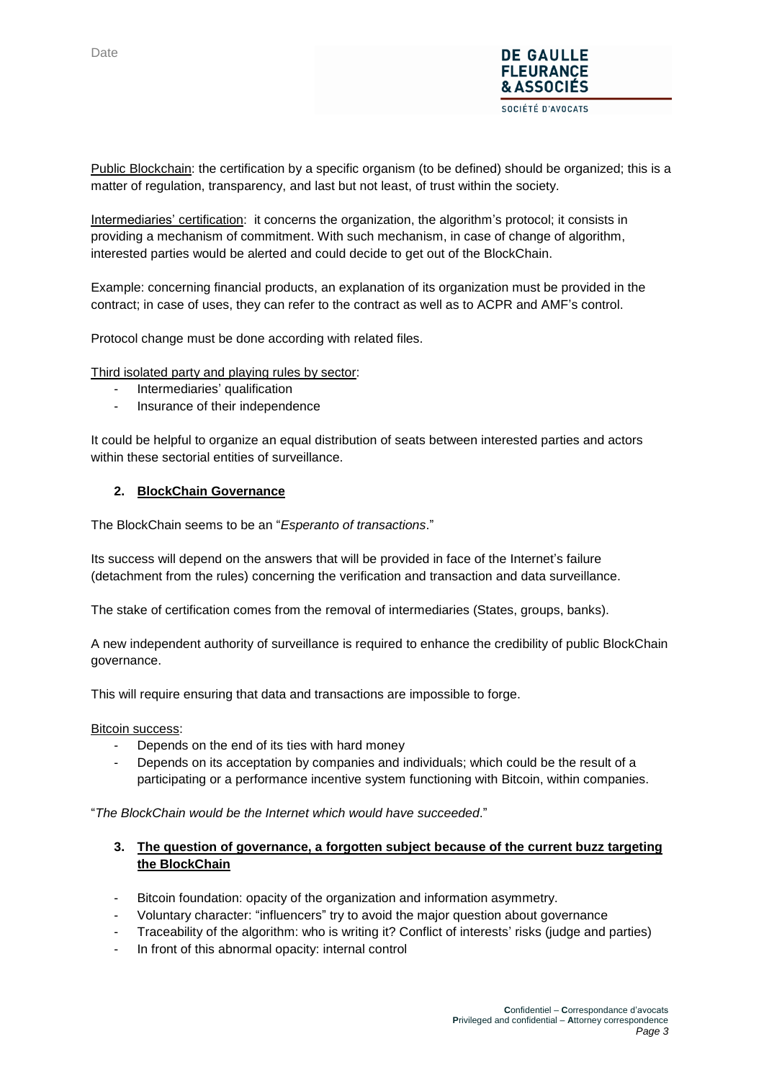

Public Blockchain: the certification by a specific organism (to be defined) should be organized; this is a matter of regulation, transparency, and last but not least, of trust within the society.

Intermediaries' certification: it concerns the organization, the algorithm's protocol; it consists in providing a mechanism of commitment. With such mechanism, in case of change of algorithm, interested parties would be alerted and could decide to get out of the BlockChain.

Example: concerning financial products, an explanation of its organization must be provided in the contract; in case of uses, they can refer to the contract as well as to ACPR and AMF's control.

Protocol change must be done according with related files.

Third isolated party and playing rules by sector:

- Intermediaries' qualification
- Insurance of their independence

It could be helpful to organize an equal distribution of seats between interested parties and actors within these sectorial entities of surveillance.

#### **2. BlockChain Governance**

The BlockChain seems to be an "*Esperanto of transactions*."

Its success will depend on the answers that will be provided in face of the Internet's failure (detachment from the rules) concerning the verification and transaction and data surveillance.

The stake of certification comes from the removal of intermediaries (States, groups, banks).

A new independent authority of surveillance is required to enhance the credibility of public BlockChain governance.

This will require ensuring that data and transactions are impossible to forge.

Bitcoin success:

- Depends on the end of its ties with hard money
- Depends on its acceptation by companies and individuals; which could be the result of a participating or a performance incentive system functioning with Bitcoin, within companies.

"*The BlockChain would be the Internet which would have succeeded*."

### **3. The question of governance, a forgotten subject because of the current buzz targeting the BlockChain**

- Bitcoin foundation: opacity of the organization and information asymmetry.
- Voluntary character: "influencers" try to avoid the major question about governance
- Traceability of the algorithm: who is writing it? Conflict of interests' risks (judge and parties)
- In front of this abnormal opacity: internal control